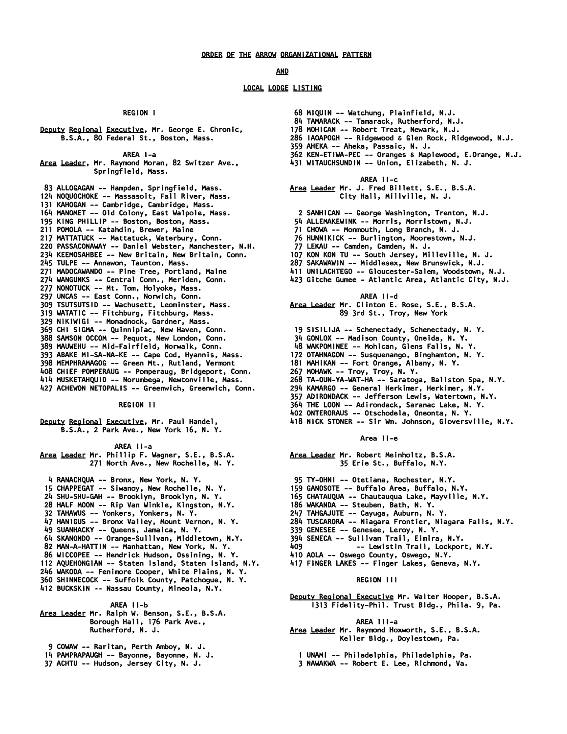### *AND*

# *LOCAL LODGE LISTING*

 *REGION I* 

*Deputy Regional Executive, Mr. George E. Chronic, B.S.A., 80 Federal St., Boston, Mass.* 

 *AREA I-a* 

*Area Leader, Mr. Raymond Moran, 82 Switzer Ave., Springfield, Mass.* 

 *83 ALLOGAGAN -- Hampden, Springfield, Mass. 124 NOQUOCHOKE -- Massasoit, Fall River, Mass. 131 KAHOGAN -- Cambridge, Cambridge, Mass. 164 MANOMET -- Old Colony, East Walpole, Mass. 195 KING PHILLIP -- Boston, Boston, Mass. 211 POMOLA -- Katahdin, Brewer, Maine 217 MATTATUCK -- Mattatuck, Waterbury, Conn. 220 PASSACONAWAY -- Daniel Webster, Manchester, N.H. 234 KEEMOSAHBEE -- New Britain, New Britain, Conn. 245 TULPE -- Annawon, Taunton, Mass. 271 MADOCAWANDO -- Pine Tree, Portland, Maine 274 WANGUNKS -- Central Conn., Meriden, Conn. 277 NONOTUCK -- Mt. Tom, Holyoke, Mass. 297 UNCAS -- East Conn., Norwich, Conn. 309 TSUTSUTSID -- Wachusett, Leominster, Mass. 319 WATATIC -- Fitchburg, Fitchburg, Mass. 329 NIKIWIGI -- Monadnock, Gardner, Mass. 369 CHI SIGMA -- Quinnipiac, New Haven, Conn. 388 SAMSON OCCOM -- Pequot, New London, Conn. 389 MAUWEHU -- Mid-Fairfield, Norwalk, Conn. 393 ABAKE MI-SA-NA-KE -- Cape Cod, Hyannis, Mass. 398 MEMPHRAMAGOG -- Green Mt., Rutland, Vermont 408 CHIEF POMPERAUG -- Pomperaug, Bridgeport, Conn. 414 MUSKETAHQUID -- Norumbega, Newtonville, Mass. 427 ACHEWON NETOPALIS -- Greenwich, Greenwich, Conn.* 

 *REGION II* 

*Deputy Regional Executive, Mr. Paul Handel, B.S.A., 2 Park Ave., New York 16, N. Y.* 

 *AREA II-a* 

*Area Leader Mr. Phillip F. Wagner, S.E., B.S.A. 271 North Ave., New Rochelle, N. Y.* 

- *4 RANACHQUA -- Bronx, New York, N. Y.*
- *15 CHAPPEGAT -- Siwanoy, New Rochelle, N. Y.*
- *24 SHU-SHU-GAH -- Brooklyn, Brooklyn, N. Y.*
- *28 HALF MOON -- Rip Van Winkle, Kingston, N.Y.*
- *32 TAHAWUS -- Yonkers, Yonkers, N. Y.*
- *47 HANIGUS -- Bronx Valley, Mount Vernon, N. Y.*
- *49 SUANHACKY -- Queens, Jamaica, N. Y.*
- *64 SKANONDO -- Orange-Sullivan, Middletown, N.Y.*
- *82 MAN-A-HATTIN -- Manhattan, New York, N. Y.*
- *86 WICCOPEE -- Hendrick Hudson, Ossining, N. Y.*
- *112 AQUEHONGIAN -- Staten Island, Staten Island, N.Y.*
- *246 WAKODA -- Fenimore Cooper, White Plains, N. Y. 360 SHINNECOCK -- Suffolk County, Patchogue, N. Y.*
- *412 BUCKSKIN -- Nassau County, Mineola, N.Y.*
- 

 *AREA II-b* 

- *Area Leader Mr. Ralph W. Benson, S.E., B.S.A. Borough Hall, 176 Park Ave., Rutherford, N. J.* 
	- *9 COWAW -- Raritan, Perth Amboy, N. J.*
- *14 PAMPRAPAUGH -- Bayonne, Bayonne, N. J.*
- *37 ACHTU -- Hudson, Jersey City, N. J.*
- *68 MIQUIN -- Watchung, Plainfield, N.J.*
- *84 TAMARACK -- Tamarack, Rutherford, N.J.*
- *178 MOHICAN -- Robert Treat, Newark, N.J.*
- *286 IAOAPOGH -- Ridgewood & Glen Rock, Ridgewood, N.J.*
- *359 AHEKA -- Aheka, Passaic, N. J.*
- *362 KEN-ETIWA-PEC -- Oranges & Maplewood, E.Orange, N.J.*
- *431 WITAUCHSUNDIN -- Union, Elizabeth, N. J.* 
	- *AREA II-c*
- *Area Leader Mr. J. Fred Billett, S.E., B.S.A. City Hall, Millville, N. J.* 
	- *2 SANHICAN -- George Washington, Trenton, N.J.*
- *54 ALLEMAKEWINK -- Morris, Morristown, N.J.*
- *71 CHOWA -- Monmouth, Long Branch, N. J.*
- *76 HUNNIKICK -- Burlington, Moorestown, N.J.*
- *77 LEKAU -- Camden, Camden, N. J.*
- *107 KON KON TU -- South Jersey, Milleville, N. J.*
- *287 SAKAWAWIN -- Middlesex, New Brunswick, N.J.*
- *411 UNILACHTEGO -- Gloucester-Salem, Woodstown, N.J.*
- *423 Gitche Gumee Atlantic Area, Atlantic City, N.J.* 
	- *AREA II-d*

*Area Leader Mr. Clinton E. Rose, S.E., B.S.A. 89 3rd St., Troy, New York* 

- *19 SISILIJA -- Schenectady, Schenectady, N. Y.*
- *34 GONLOX -- Madison County, Oneida, N. Y.*
- *48 WAKPOMINEE -- Mohican, Glens Falls, N. Y.*
- *172 OTAHNAGON -- Susquenango, Binghamton, N. Y.*
- *181 MAHIKAN -- Fort Orange, Albany, N. Y.*
- *267 MOHAWK -- Troy, Troy, N. Y.*
- *268 TA-OUN-YA-WAT-HA -- Saratoga, Ballston Spa, N.Y.*
- *294 KAMARGO -- General Herkimer, Herkimer, N.Y.*
- *357 ADIRONDACK -- Jefferson Lewis, Watertown, N.Y.*
- *364 THE LOON -- Adirondack, Saranac Lake, N. Y.*
- *402 ONTERORAUS -- Otschodela, Oneonta, N. Y.*
- *418 NICK STONER -- Sir Wm. Johnson, Gloversville, N.Y.*

#### *Area II-e*

- *Area Leader Mr. Robert Meinholtz, B.S.A. 35 Erie St., Buffalo, N.Y.*
- *95 TY-OHNI -- Otetiana, Rochester, N.Y.*
- *159 GANOSOTE -- Buffalo Area, Buffalo, N.Y.*
- *165 CHATAUQUA -- Chautauqua Lake, Mayville, N.Y.*
- *186 WAKANDA -- Steuben, Bath, N. Y.*
- *247 TAHGAJUTE -- Cayuga, Auburn, N. Y.*
- *284 TUSCARORA -- Niagara Frontier, Niagara Falls, N.Y.*
- *339 GENESEE -- Genesee, Leroy, N. Y.*
- *394 SENECA -- Sullivan Trail, Elmira, N.Y.*
- *409 -- Lewistin Trail, Lockport, N.Y.*
- *410 AOLA -- Oswego County, Oswego, N.Y.*
- *417 FINGER LAKES -- Finger Lakes, Geneva, N.Y.*

# *REGION III*

*Deputy Regional Executive Mr. Walter Hooper, B.S.A. 1313 Fidelity-Phil. Trust Bldg., Phila. 9, Pa.* 

#### *AREA III-a*

*Area Leader Mr. Raymond Hoxworth, S.E., B.S.A. Keller Bldg., Doylestown, Pa.* 

 *1 UNAMI -- Philadelphia, Philadelphia, Pa.* 

 *3 NAWAKWA -- Robert E. Lee, Richmond, Va.*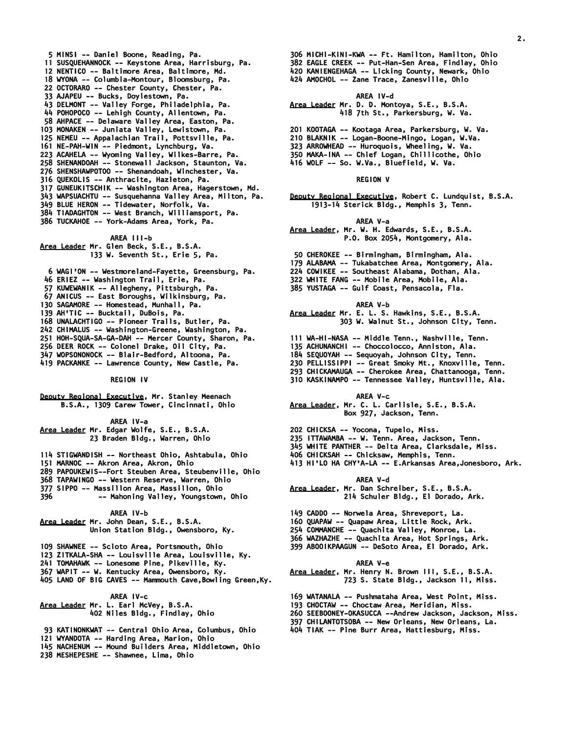- *5 MINSI -- Daniel Boone, Reading, Pa. 11 SUSQUEHANNOCK -- Keystone Area, Harrisburg, Pa. 12 NENTICO -- Baltimore Area, Baltimore, Md. 18 WYONA -- Columbia-Montour, Bloomsburg, Pa. 22 OCTORARO -- Chester County, Chester, Pa. 33 AJAPEU -- Bucks, Doylestown, Pa. 43 DELMONT -- Valley Forge, Philadelphia, Pa. 44 POHOPOCO -- Lehigh County, Allentown, Pa. 58 AHPACE -- Delaware Valley Area, Easton, Pa. 103 MONAKEN -- Juniata Valley, Lewistown, Pa. 125 NEMEU -- Appalachian Trail, Pottsville, Pa. 161 NE-PAH-WIN -- Piedmont, Lynchburg, Va. 223 ACAHELA -- Wyoming Valley, Wilkes-Barre, Pa. 258 SHENANDOAH -- Stonewall Jackson, Staunton, Va. 276 SHENSHAWPOTOO -- Shenandoah, Winchester, Va. 316 QUEKOLIS -- Anthracite, Hazleton, Pa. 317 GUNEUKITSCHIK -- Washington Area, Hagerstown, Md. 343 WAPSUACHTU -- Susquehanna Valley Area, Milton, Pa. 349 BLUE HERON -- Tidewater, Norfolk, Va. 384 TIADAGHTON -- West Branch, Williamsport, Pa.*
- *386 TUCKAHOE -- York-Adams Area, York, Pa.*

 *AREA III-b Area Leader Mr. Glen Beck, S.E., B.S.A. 133 W. Seventh St., Erie 5, Pa.* 

- *6 WAGI'ON -- Westmoreland-Fayette, Greensburg, Pa. 46 ERIEZ -- Washington Trail, Erie, Pa. 57 KUWEWANIK -- Allegheny, Pittsburgh, Pa. 67 ANICUS -- East Boroughs, Wilkinsburg, Pa. 130 SAGAMORE -- Homestead, Munhall, Pa. 139 AH'TIC -- Bucktail, DuBois, Pa. 168 UNALACHTIGO -- Pioneer Trails, Butler, Pa. 242 CHIMALUS -- Washington-Greene, Washington, Pa. 251 HOH-SQUA-SA-GA-DAH -- Mercer County, Sharon, Pa. 256 DEER ROCK -- Colonel Drake, Oil City, Pa. 347 WOPSONONOCK -- Blair-Bedford, Altoona, Pa.*
- *419 PACKANKE -- Lawrence County, New Castle, Pa.*

 *REGION IV* 

*Deputy Regional Executive, Mr. Stanley Meenach B.S.A., 1309 Carew Tower, Cincinnati, Ohio* 

 *AREA IV-a Area Leader Mr. Edgar Wolfe, S.E., B.S.A. 23 Braden Bldg., Warren, Ohio* 

- *114 STIGWANDISH -- Northeast Ohio, Ashtabula, Ohio*
- *151 MARNOC -- Akron Area, Akron, Ohio*
- *289 PAPOUKEWIS--Fort Steuben Area, Steubenville, Ohio*
- *368 TAPAWINGO -- Western Reserve, Warren, Ohio*
- *377 SIPPO -- Massillon Area, Massillon, Ohio*
- *396 -- Mahoning Valley, Youngstown, Ohio*

#### *AREA IV-b*

- *Area Leader Mr. John Dean, S.E., B.S.A. Union Station Bldg., Owensboro, Ky.*
- *109 SHAWNEE -- Scioto Area, Portsmouth, Ohio*
- *123 ZITKALA-SHA -- Louisville Area, Louisville, Ky.*
- *241 TOMAHAWK -- Lonesome Pine, Pikeville, Ky.*
- *367 WAPIT -- W. Kentucky Area, Owensboro, Ky.*
- *405 LAND OF BIG CAVES -- Mammouth Cave,Bowling Green,Ky.*

 *AREA IV-c Area Leader Mr. L. Earl McVey, B.S.A. 402 Niles Bldg., Findlay, Ohio* 

- *93 KATINONKWAT -- Central Ohio Area, Columbus, Ohio*
- *121 WYANDOTA -- Harding Area, Marion, Ohio*
- *145 NACHENUM -- Mound Builders Area, Middletown, Ohio*
- *238 MESHEPESHE -- Shawnee, Lima, Ohio*
- *306 MICHI-KINI-KWA -- Ft. Hamilton, Hamilton, Ohio*
- *382 EAGLE CREEK -- Put-Han-Sen Area, Findlay, Ohio*
- *420 KANIENGEHAGA -- Licking County, Newark, Ohio*
- *424 AMOCHOL -- Zane Trace, Zanesville, Ohio*

 *AREA IV-d* 

- *Area Leader Mr. D. D. Montoya, S.E., B.S.A. 418 7th St., Parkersburg, W. Va.*
- *201 KOOTAGA -- Kootaga Area, Parkersburg, W. Va.*
- *210 BLAKNIK -- Logan-Boone-Mingo, Logan, W.Va.*
- *323 ARROWHEAD -- Huroquois, Wheeling, W. Va.*
- *350 MAKA-INA -- Chief Logan, Chillicothe, Ohio*
- *416 WOLF -- So. W.Va., Bluefield, W. Va.*

# *REGION V*

*Deputy Regional Executive, Robert C. Lundquist, B.S.A. 1913-14 Sterick Bldg., Memphis 3, Tenn.* 

 *AREA V-a* 

- *Area Leader, Mr. W. H. Edwards, S.E., B.S.A. P.O. Box 2054, Montgomery, Ala.*
- *50 CHEROKEE -- Birmingham, Birmingham, Ala.*
- *179 ALABAMA -- Tukabatchee Area, Montgomery, Ala.*
- *224 COWIKEE -- Southeast Alabama, Dothan, Ala.*
- *322 WHITE FANG -- Mobile Area, Mobile, Ala.*
- *385 YUSTAGA -- Gulf Coast, Pensacola, Fla.* 
	- *AREA V-b*

*Area Leader Mr. E. L. S. Hawkins, S.E., B.S.A. 303 W. Walnut St., Johnson City, Tenn.* 

- *111 WA-HI-NASA -- Middle Tenn., Nashville, Tenn.*
- *135 ACHUNANCHI -- Choccolocco, Anniston, Ala.*
- *184 SEQUOYAH -- Sequoyah, Johnson City, Tenn.*
- *230 PELLISSIPPI -- Great Smoky Mt., Knoxville, Tenn.*
- *293 CHICKAMAUGA -- Cherokee Area, Chattanooga, Tenn.*
- *310 KASKINAMPO -- Tennessee Valley, Huntsville, Ala.* 
	- *AREA V-c*
- *Area Leader, Mr. C. L. Carlisle, S.E., B.S.A. Box 927, Jackson, Tenn.*
- *202 CHICKSA -- Yocona, Tupelo, Miss.*
- *235 ITTAWAMBA -- W. Tenn. Area, Jackson, Tenn.*
- *345 WHITE PANTHER -- Delta Area, Clarksdale, Miss.*
- *406 CHICKSAH -- Chicksaw, Memphis, Tenn.*
- *413 HI'LO HA CHY'A-LA -- E.Arkansas Area,Jonesboro, Ark.*

### *AREA V-d*

- *Area Leader, Mr. Dan Schreiber, S.E., B.S.A. 214 Schuler Bldg., El Dorado, Ark.*
- *149 CADDO -- Norwela Area, Shreveport, La.*
- *160 QUAPAW -- Quapaw Area, Little Rock, Ark.*
- *254 COMMANCHE -- Quachita Valley, Monroe, La.*
- *366 WAZHAZHE -- Quachita Area, Hot Springs, Ark.*
- *399 ABOOIKPAAGUN -- DeSoto Area, El Dorado, Ark.*

 *AREA V-e* 

*Area Leader, Mr. Henry N. Brown III, S.E., B.S.A. 723 S. State Bldg., Jackson 11, Miss.* 

- *169 WATANALA -- Pushmataha Area, West Point, Miss.*
- *193 CHOCTAW -- Choctaw Area, Meridian, Miss.*
- *260 SEEBOONEY-OKASUCCA --Andrew Jackson, Jackson, Miss.*
- *397 CHILANTOTSOBA -- New Orleans, New Orleans, La.*
- *404 TIAK -- Pine Burr Area, Hattiesburg, Miss.*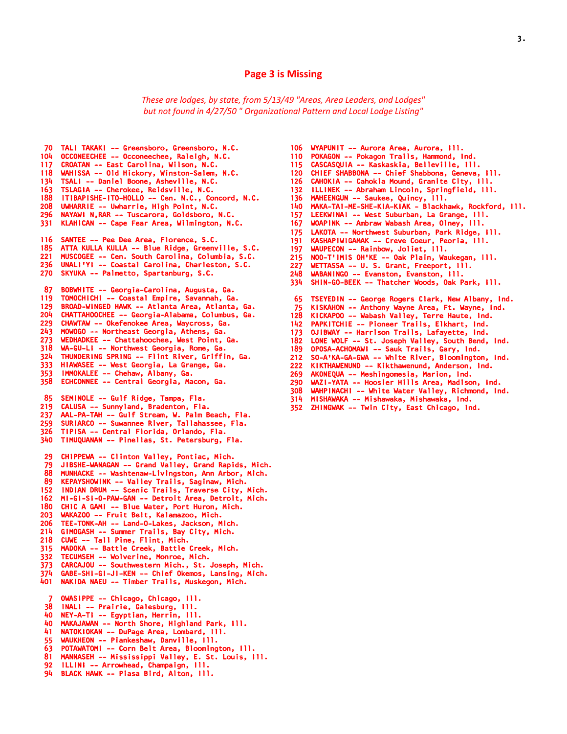# **Page 3 is Missing**

*These are lodges, by state, from 5/13/49 "Areas, Area Leaders, and Lodges" but not found in 4/27/50 " Organizational Pattern and Local Lodge Listing"*

- *70 TALI TAKAKI -- Greensboro, Greensboro, N.C. 104 OCCONEECHEE -- Occoneechee, Raleigh, N.C. 117 CROATAN -- East Carolina, Wilson, N.C. 118 WAHISSA -- Old Hickory, Winston-Salem, N.C. 134 TSALI -- Daniel Boone, Asheville, N.C. 163 TSLAGIA -- Cherokee, Reidsville, N.C. 188 ITIBAPISHE-ITO-HOLLO -- Cen. N.C., Concord, N.C. 208 UWHARRIE -- Uwharrie, High Point, N.C. 296 NAYAWI N,RAR -- Tuscarora, Goldsboro, N.C. 331 KLAHICAN -- Cape Fear Area, Wilmington, N.C. 116 SANTEE -- Pee Dee Area, Florence, S.C. 185 ATTA KULLA KULLA -- Blue Ridge, Greenville, S.C. 221 MUSCOGEE -- Cen. South Carolina, Columbia, S.C. 236 UNALI'YI -- Coastal Carolina, Charleston, S.C. 270 SKYUKA -- Palmetto, Spartanburg, S.C. 87 BOBWHITE -- Georgia-Carolina, Augusta, Ga. 119 TOMOCHICHI -- Coastal Empire, Savannah, Ga. 129 BROAD-WINGED HAWK -- Atlanta Area, Atlanta, Ga. 204 CHATTAHOOCHEE -- Georgia-Alabama, Columbus, Ga. 229 CHAWTAW -- Okefenokee Area, Waycross, Ga. 243 MOWOGO -- Northeast Georgia, Athens, Ga. 273 WEDHADKEE -- Chattahoochee, West Point, Ga. 318 WA-GU-LI -- Northwest Georgia, Rome, Ga. 324 THUNDERING SPRING -- Flint River, Griffin, Ga. 333 HIAWASEE -- West Georgia, La Grange, Ga. 353 IMMOKALEE -- Chehaw, Albany, Ga. 358 ECHCONNEE -- Central Georgia, Macon, Ga. 85 SEMINOLE -- Gulf Ridge, Tampa, Fla. 219 CALUSA -- Sunnyland, Bradenton, Fla. 237 AAL-PA-TAH -- Gulf Stream, W. Palm Beach, Fla. 259 SURIARCO -- Suwannee River, Tallahassee, Fla. 326 TIPISA -- Central Florida, Orlando, Fla. 340 TIMUQUANAN -- Pinellas, St. Petersburg, Fla. 29 CHIPPEWA -- Clinton Valley, Pontiac, Mich. 79 JIBSHE-WANAGAN -- Grand Valley, Grand Rapids, Mich. 88 MUNHACKE -- Washtenaw-Livingston, Ann Arbor, Mich. 89 KEPAYSHOWINK -- Valley Trails, Saginaw, Mich. 152 INDIAN DRUM -- Scenic Trails, Traverse City, Mich. 162 MI-GI-SI-O-PAW-GAN -- Detroit Area, Detroit, Mich. 180 CHIC A GAMI -- Blue Water, Port Huron, Mich. 203 WAKAZOO -- Fruit Belt, Kalamazoo, Mich. 206 TEE-TONK-AH -- Land-O-Lakes, Jackson, Mich. 214 GIMOGASH -- Summer Trails, Bay City, Mich. 218 CUWE -- Tall Pine, Flint, Mich. 315 MADOKA -- Battle Creek, Battle Creek, Mich. 332 TECUMSEH -- Wolverine, Monroe, Mich. 373 CARCAJOU -- Southwestern Mich., St. Joseph, Mich. 374 GABE-SHI-GI-JI-KEN -- Chief Okemos, Lansing, Mich. 401 NAKIDA NAEU -- Timber Trails, Muskegon, Mich. 7 OWASIPPE -- Chicago, Chicago, Ill. 38 INALI -- Prairie, Galesburg, Ill. 40 NEY-A-TI -- Egyptian, Herrin, Ill. 40 MAKAJAWAN -- North Shore, Highland Park, Ill. 41 NATOKIOKAN -- DuPage Area, Lombard, Ill. 55 WAUKHEON -- Piankeshaw, Danville, Ill. 63 POTAWATOMI -- Corn Belt Area, Bloomington, Ill. 81 MANNASEH -- Mississippi Valley, E. St. Louis, Ill. 92 ILLINI -- Arrowhead, Champaign, Ill. 94 BLACK HAWK -- Piasa Bird, Alton, Ill.*
- *106 WYAPUNIT -- Aurora Area, Aurora, Ill.* 
	- *110 POKAGON -- Pokagon Trails, Hammond, Ind.*
	- *115 CASCASQUIA -- Kaskaskia, Belleville, Ill.*
	- *120 CHIEF SHABBONA -- Chief Shabbona, Geneva, Ill.*
	- *126 CAHOKIA -- Cahokia Mound, Granite City, Ill.*
	- *132 ILLINEK -- Abraham Lincoln, Springfield, Ill.*
	- *136 MAHEENGUN -- Saukee, Quincy, Ill.*
	- *140 MAKA-TAI-ME-SHE-KIA-KIAK Blackhawk, Rockford, Ill.*
	- *157 LEEKWINAI -- West Suburban, La Grange, Ill.*
	- *167 WOAPINK -- Ambraw Wabash Area, Olney, Ill.*
	- *175 LAKOTA -- Northwest Suburban, Park Ridge, Ill.*
	- *191 KASHAPIWIGAMAK -- Creve Coeur, Peoria, Ill. 197 WAUPECON -- Rainbow, Joliet, Ill.*
	- *215 NOO-T'IMIS OH'KE -- Oak Plain, Waukegan, Ill.*
	-
	- *227 WETTASSA -- U. S. Grant, Freeport, Ill.*
	- *248 WABANINGO -- Evanston, Evanston, Ill. 334 SHIN-GO-BEEK -- Thatcher Woods, Oak Park, Ill.*
	-
	- *65 TSEYEDIN -- George Rogers Clark, New Albany, Ind.*
	- *75 KISKAHON -- Anthony Wayne Area, Ft. Wayne, Ind.*
	- *128 KICKAPOO -- Wabash Valley, Terre Haute, Ind.*
	- *142 PAPKITCHIE -- Pioneer Trails, Elkhart, Ind.*
	- *173 OJIBWAY -- Harrison Trails, Lafayette, Ind.*
	- 182 LONE WOLF -- St. Joseph Valley, South Bend, Ind.<br>189 OPOSA-ACHOMAWI -- Sauk Trails, Gary, Ind.
	- *189 OPOSA-ACHOMAWI -- Sauk Trails, Gary, Ind.*
	- *212 SO-A'KA-GA-GWA -- White River, Bloomington, Ind.*
	- *222 KIKTHAWENUND -- Kikthawenund, Anderson, Ind.*
	- *269 AKONEQUA -- Meshingomesia, Marion, Ind. 290 WAZI-YATA -- Hoosier Hills Area, Madison, Ind.*
	-
	- *308 WAHPINACHI -- White Water Valley, Richmond, Ind.*
	- *314 MISHAWAKA -- Mishawaka, Mishawaka, Ind.*
	- *352 ZHINGWAK -- Twin City, East Chicago, Ind.*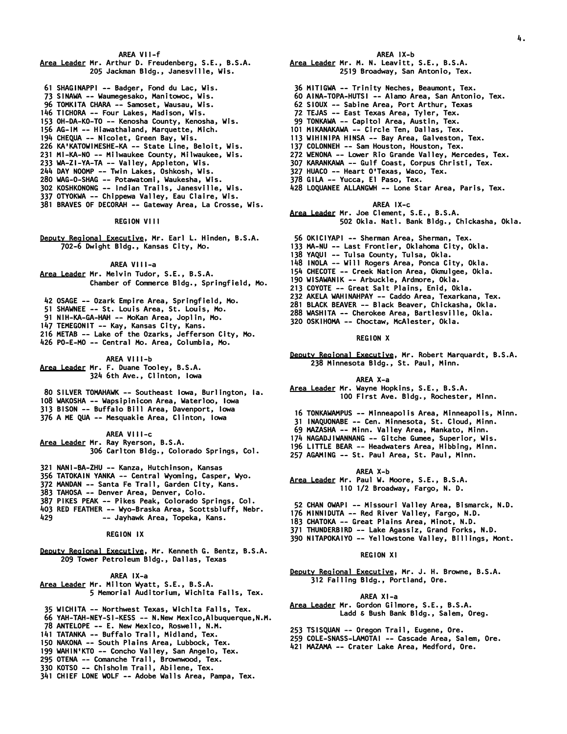### *AREA VII-f*

- *Area Leader Mr. Arthur D. Freudenberg, S.E., B.S.A. 205 Jackman Bldg., Janesville, Wis.*
- *61 SHAGINAPPI -- Badger, Fond du Lac, Wis.*
- *73 SINAWA -- Waumegesako, Manitowoc, Wis.*
- *96 TOMKITA CHARA -- Samoset, Wausau, Wis.*
- *146 TICHORA -- Four Lakes, Madison, Wis.*
- *153 OH-DA-KO-TO -- Kenosha County, Kenosha, Wis.*
- *156 AG-IM -- Hiawathaland, Marquette, Mich.*
- *194 CHEQUA -- Nicolet, Green Bay, Wis.*
- *226 KA'KATOWIMESHE-KA -- State Line, Beloit, Wis.*
- *231 MI-KA-NO -- Milwaukee County, Milwaukee, Wis.*
- *233 WA-ZI-YA-TA -- Valley, Appleton, Wis.*
- *244 DAY NOOMP -- Twin Lakes, Oshkosh, Wis.*
- *280 WAG-O-SHAG -- Potawatomi, Waukesha, Wis. 302 KOSHKONONG -- Indian Trails, Janesville, Wis.*
- *337 OTYOKWA -- Chippewa Valley, Eau Claire, Wis.*
- *381 BRAVES OF DECORAH -- Gateway Area, La Crosse, Wis.*
- 

# *REGION VIII*

*Deputy Regional Executive, Mr. Earl L. Hinden, B.S.A. 702-6 Dwight Bldg., Kansas City, Mo.* 

# *AREA VIII-a*

*Area Leader Mr. Melvin Tudor, S.E., B.S.A. Chamber of Commerce Bldg., Springfield, Mo.* 

- *42 OSAGE -- Ozark Empire Area, Springfield, Mo.*
- *51 SHAWNEE -- St. Louis Area, St. Louis, Mo.*

 *91 NIH-KA-GA-HAH -- MoKan Area, Joplin, Mo.* 

- *147 TEMEGONIT -- Kay, Kansas City, Kans.*
- *216 METAB -- Lake of the Ozarks, Jefferson City, Mo.*
- *426 PO-E-MO -- Central Mo. Area, Columbia, Mo.*

### *AREA VIII-b Area Leader Mr. F. Duane Tooley, B.S.A.*

- *324 6th Ave., Clinton, Iowa*
- *80 SILVER TOMAHAWK -- Southeast Iowa, Burlington, Ia. 108 WAKOSHA -- Wapsipinicon Area, Waterloo, Iowa 313 BISON -- Buffalo Bill Area, Davenport, Iowa*
- *376 A ME QUA -- Mesquakie Area, Clinton, Iowa*

## *AREA VIII-c Area Leader Mr. Ray Ryerson, B.S.A. 306 Carlton Bldg., Colorado Springs, Col.*

- *321 NANI-BA-ZHU -- Kanza, Hutchinson, Kansas*
- *356 TATOKAIN YANKA -- Central Wyoming, Casper, Wyo.*
- *372 MANDAN -- Santa Fe Trail, Garden City, Kans.*
- *383 TAHOSA -- Denver Area, Denver, Colo.*
- *387 PIKES PEAK -- Pikes Peak, Colorado Springs, Col.*
- *403 RED FEATHER -- Wyo-Braska Area, Scottsbluff, Nebr.*
- *429 -- Jayhawk Area, Topeka, Kans.*

# *REGION IX*

*Deputy Regional Executive, Mr. Kenneth G. Bentz, B.S.A. 209 Tower Petroleum Bldg., Dallas, Texas* 

### *AREA IX-a Area Leader Mr. Milton Wyatt, S.E., B.S.A. 5 Memorial Auditorium, Wichita Falls, Tex.*

- *35 WICHITA -- Northwest Texas, Wichita Falls, Tex.*
- *66 YAH-TAH-NEY-SI-KESS -- N.New Mexico,Albuquerque,N.M.*
- *78 ANTELOPE -- E. New Mexico, Roswell, N.M.*
- *141 TATANKA -- Buffalo Trail, Midland, Tex.*
- *150 NAKONA -- South Plains Area, Lubbock, Tex.*
- *199 WAHIN'KTO -- Concho Valley, San Angelo, Tex.*
- *295 OTENA -- Comanche Trail, Brownwood, Tex.*
- *330 KOTSO -- Chisholm Trail, Abilene, Tex.*
- *341 CHIEF LONE WOLF -- Adobe Walls Area, Pampa, Tex.*

# *AREA IX-b*

*4.* 

- *Area Leader Mr. M. N. Leavitt, S.E., B.S.A. 2519 Broadway, San Antonio, Tex.*
- 
- *36 MITIGWA -- Trinity Neches, Beaumont, Tex.*
- *60 AINA-TOPA-HUTSI -- Alamo Area, San Antonio, Tex.*
- *62 SIOUX -- Sabine Area, Port Arthur, Texas*
- *72 TEJAS -- East Texas Area, Tyler, Tex. 99 TONKAWA -- Capitol Area, Austin, Tex.*
- *101 MIKANAKAWA -- Circle Ten, Dallas, Tex.*
- *113 WIHINIPA HINSA -- Bay Area, Galveston, Tex.*
- *137 COLONNEH -- Sam Houston, Houston, Tex.*
- *272 WENONA -- Lower Rio Grande Valley, Mercedes, Tex.*
- *307 KARANKAWA -- Gulf Coast, Corpus Christi, Tex.*
- *327 HUACO -- Heart O'Texas, Waco, Tex.*
- *378 GILA -- Yucca, El Paso, Tex.*
- *428 LOQUANEE ALLANGWH -- Lone Star Area, Paris, Tex.*

### *AREA IX-c*

- *Area Leader Mr. Joe Clement, S.E., B.S.A. 502 Okla. Natl. Bank Bldg., Chickasha, Okla.*
- *56 OKICIYAPI -- Sherman Area, Sherman, Tex.*
- *133 MA-NU -- Last Frontier, Oklahoma City, Okla.*
- *138 YAQUI -- Tulsa County, Tulsa, Okla.*
- *148 INOLA -- Will Rogers Area, Ponca City, Okla.*
- *154 CHECOTE -- Creek Nation Area, Okmulgee, Okla.*
- *190 WISAWANIK -- Arbuckle, Ardmore, Okla.*
- *213 COYOTE -- Great Salt Plains, Enid, Okla.*
- *232 AKELA WAHINAHPAY -- Caddo Area, Texarkana, Tex.*
- *281 BLACK BEAVER -- Black Beaver, Chickasha, Okla.*
- *288 WASHITA -- Cherokee Area, Bartlesville, Okla.*
- *320 OSKIHOMA -- Choctaw, McAlester, Okla.*

### *REGION X*

*Deputy Regional Executive, Mr. Robert Marquardt, B.S.A. 238 Minnesota Bldg., St. Paul, Minn.* 

### *AREA X-a*

- *Area Leader Mr. Wayne Hopkins, S.E., B.S.A. 100 First Ave. Bldg., Rochester, Minn.*
- *16 TONKAWAMPUS -- Minneapolis Area, Minneapolis, Minn.*
- *31 INAQUONABE -- Cen. Minnesota, St. Cloud, Minn.*
- *69 MAZASHA -- Minn. Valley Area, Mankato, Minn.*
- *174 NAGADJIWANNANG -- Gitche Gumee, Superior, Wis.*
- *196 LITTLE BEAR -- Headwaters Area, Hibbing, Minn.*
- *257 AGAMING -- St. Paul Area, St. Paul, Minn.* 
	- *AREA X-b*
- *Area Leader Mr. Paul W. Moore, S.E., B.S.A. 110 1/2 Broadway, Fargo, N. D.*
- *52 CHAN OWAPI -- Missouri Valley Area, Bismarck, N.D.*
- *176 MINNIDUTA -- Red River Valley, Fargo, N.D.*
- *183 CHATOKA -- Great Plains Area, Minot, N.D.*
- *371 THUNDERBIRD -- Lake Agassiz, Grand Forks, N.D.*
- *390 NITAPOKAIYO -- Yellowstone Valley, Billings, Mont.*

#### *REGION XI*

*Deputy Regional Executive, Mr. J. H. Browne, B.S.A. 312 Failing Bldg., Portland, Ore.* 

### *AREA XI-a*

 *253 TSISQUAN -- Oregon Trail, Eugene, Ore. 259 COLE-SNASS-LAMOTAI -- Cascade Area, Salem, Ore. 421 MAZAMA -- Crater Lake Area, Medford, Ore.* 

*Area Leader Mr. Gordon Gilmore, S.E., B.S.A. Ladd & Bush Bank Bldg., Salem, Oreg.*